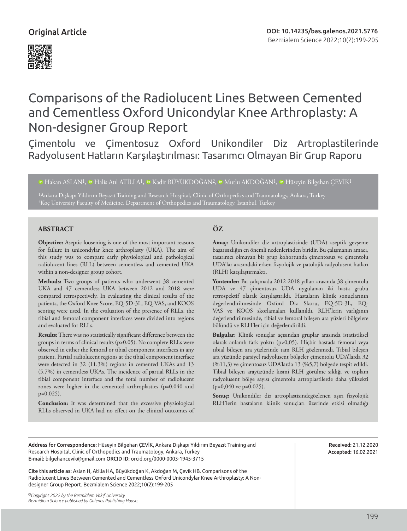

# Comparisons of the Radiolucent Lines Between Cemented and Cementless Oxford Unicondylar Knee Arthroplasty: A Non-designer Group Report

Çimentolu ve Çimentosuz Oxford Unikondiler Diz Artroplastilerinde Radyolusent Hatların Karşılaştırılması: Tasarımcı Olmayan Bir Grup Raporu

<sup>1</sup>DHakan ASLAN<sup>1</sup>, <sup>1</sup>D Halis Atıl ATİLLA<sup>1</sup>, <sup>1D</sup> Kadir BÜYÜKDOĞAN<sup>2</sup>, <sup>1D</sup> [M](https://orcid.org/0000-0001-8419-4065)utlu AKDOĞAN<sup>1</sup>, <sup>1D</sup> Hüseyin Bilgehan CEVİK<sup>1</sup>

1Ankara Dışkapı Yıldırım Beyazıt Training and Research Hospital, Clinic of Orthopedics and Traumatology, Ankara, Turkey 2Koç University Faculty of Medicine, Department of Orthopedics and Traumatology, İstanbul, Turkey

# **ABSTRACT ÖZ**

**Objective:** Aseptic loosening is one of the most important reasons for failure in unicondylar knee arthroplasty (UKA). The aim of this study was to compare early physiological and pathological radiolucent lines (RLL) between cementless and cemented UKA within a non-designer group cohort.

**Methods:** Two groups of patients who underwent 38 cemented UKA and 47 cementless UKA between 2012 and 2018 were compared retrospectively. In evaluating the clinical results of the patients, the Oxford Knee Score, EQ-5D-3L, EQ-VAS, and KOOS scoring were used. In the evaluation of the presence of RLLs, the tibial and femoral component interfaces were divided into regions and evaluated for RLLs.

**Results:** There was no statistically significant difference between the groups in terms of clinical results (p>0.05). No complete RLLs were observed in either the femoral or tibial component interfaces in any patient. Partial radiolucent regions at the tibial component interface were detected in 32 (11.3%) regions in cemented UKAs and 13 (5.7%) in cementless UKAs. The incidence of partial RLLs in the tibial component interface and the total number of radiolucent zones were higher in the cemented arthroplasties (p=0.040 and p=0.025).

**Conclusion:** It was determined that the excessive physiological RLLs observed in UKA had no effect on the clinical outcomes of

**Amaç:** Unikondiler diz artroplastisinde (UDA) aseptik gevşeme başarısızlığın en önemli nedenlerinden biridir. Bu çalışmanın amacı, tasarımcı olmayan bir grup kohortunda çimentosuz ve çimentolu UDA'lar arasındaki erken fizyolojik ve patolojik radyolusent hatları (RLH) karşılaştırmaktı.

**Yöntemler:** Bu çalışmada 2012-2018 yılları arasında 38 çimentolu UDA ve 47 çimentosuz UDA uygulanan iki hasta grubu retrospektif olarak karşılaştırıldı. Hastaların klinik sonuçlarının değerlendirilmesinde Oxford Diz Skoru, EQ-5D-3L, EQ-VAS ve KOOS skorlamaları kullanıldı. RLH'lerin varlığının değerlendirilmesinde, tibial ve femoral bileşen ara yüzleri bölgelere bölündü ve RLH'ler için değerlendirildi.

**Bulgular:** Klinik sonuçlar açısından gruplar arasında istatistiksel olarak anlamlı fark yoktu (p>0,05). Hiçbir hastada femoral veya tibial bileşen ara yüzlerinde tam RLH gözlenmedi. Tibial bileşen ara yüzünde parsiyel radyolusent bölgeler çimentolu UDA'larda 32 (%11,3) ve çimentosuz UDA'larda 13 (%5,7) bölgede tespit edildi. Tibial bileşen arayüzünde kısmi RLH görülme sıklığı ve toplam radyolusent bölge sayısı çimentolu artroplastilerde daha yüksekti (p=0,040 ve p=0,025).

**Sonuç:** Unikondiler diz artroplastisindegözlenen aşırı fizyolojik RLH'lerin hastaların klinik sonuçları üzerinde etkisi olmadığı

Address for Correspondence: Hüseyin Bilgehan ÇEVİK, Ankara Dışkapı Yıldırım Beyazıt Training and Research Hospital, Clinic of Orthopedics and Traumatology, Ankara, Turkey E-mail: bilgehancevik@gmail.com ORCID ID: orcid.org/0000-0003-1945-3715

Cite this article as: Aslan H, Atilla HA, Büyükdoğan K, Akdoğan M, Çevik HB. Comparisons of the Radiolucent Lines Between Cemented and Cementless Oxford Unicondylar Knee Arthroplasty: A Nondesigner Group Report. Bezmialem Science 2022;10(2):199-205

*©Copyright 2022 by the Bezmiâlem Vakıf University Bezmiâlem Science published by Galenos Publishing House.* Received: 21.12.2020 Accepted: 16.02.2021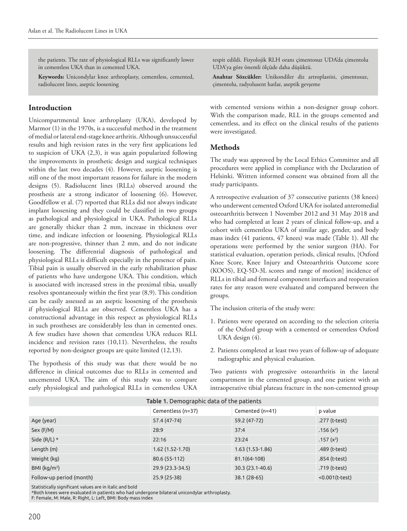the patients. The rate of physiological RLLs was significantly lower in cementless UKA than in cemented UKA.

**Keywords:** Unicondylar knee arthroplasty, cementless, cemented, radiolucent lines, aseptic loosening

# **Introduction**

Unicompartmental knee arthroplasty (UKA), developed by Marmor (1) in the 1970s, is a successful method in the treatment of medial or lateral end-stage knee arthritis. Although unsuccessful results and high revision rates in the very first applications led to suspicion of UKA (2,3), it was again popularized following the improvements in prosthetic design and surgical techniques within the last two decades (4). However, aseptic loosening is still one of the most important reasons for failure in the modern designs (5). Radiolucent lines (RLLs) observed around the prosthesis are a strong indicator of loosening (6). However, Goodfellow et al. (7) reported that RLLs did not always indicate implant loosening and they could be classified in two groups as pathological and physiological in UKA. Pathological RLLs are generally thicker than 2 mm, increase in thickness over time, and indicate infection or loosening. Physiological RLLs are non-progressive, thinner than 2 mm, and do not indicate loosening. The differential diagnosis of pathological and physiological RLLs is difficult especially in the presence of pain. Tibial pain is usually observed in the early rehabilitation phase of patients who have undergone UKA. This condition, which is associated with increased stress in the proximal tibia, usually resolves spontaneously within the first year (8,9). This condition can be easily assessed as an aseptic loosening of the prosthesis if physiological RLLs are observed. Cementless UKA has a constructional advantage in this respect as physiological RLLs in such prostheses are considerably less than in cemented ones. A few studies have shown that cementless UKA reduces RLL incidence and revision rates (10,11). Nevertheless, the results reported by non-designer groups are quite limited (12,13).

The hypothesis of this study was that there would be no difference in clinical outcomes due to RLLs in cemented and uncemented UKA. The aim of this study was to compare early physiological and pathological RLLs in cementless UKA

tespit edildi. Fizyolojik RLH oranı çimentosuz UDA'da çimentolu UDA'ya göre önemli ölçüde daha düşüktü.

**Anahtar Sözcükler:** Unikondiler diz artroplastisi, çimentosuz, çimentolu, radyolusent hatlar, aseptik gevşeme

with cemented versions within a non-designer group cohort. With the comparison made, RLL in the groups cemented and cementless, and its effect on the clinical results of the patients were investigated.

# **Methods**

The study was approved by the Local Ethics Committee and all procedures were applied in compliance with the Declaration of Helsinki. Written informed consent was obtained from all the study participants.

A retrospective evaluation of 37 consecutive patients (38 knees) who underwent cemented Oxford UKA for isolated anteromedial osteoarthritis between 1 November 2012 and 31 May 2018 and who had completed at least 2 years of clinical follow-up, and a cohort with cementless UKA of similar age, gender, and body mass index (41 patients, 47 knees) was made (Table 1). All the operations were performed by the senior surgeon (HA). For statistical evaluation, operation periods, clinical results, [Oxford Knee Score, Knee Injury and Osteoarthritis Outcome score (KOOS), EQ-5D-3L scores and range of motion] incidence of RLLs in tibial and femoral component interfaces and reoperation rates for any reason were evaluated and compared between the groups.

The inclusion criteria of the study were:

- 1. Patients were operated on according to the selection criteria of the Oxford group with a cemented or cementless Oxford UKA design (4).
- 2. Patients completed at least two years of follow-up of adequate radiographic and physical evaluation.

Two patients with progressive osteoarthritis in the lateral compartment in the cemented group, and one patient with an intraoperative tibial plateau fracture in the non-cemented group

| Table 1. Demographic data of the patients |                   |                   |                  |  |  |
|-------------------------------------------|-------------------|-------------------|------------------|--|--|
|                                           | Cementless (n=37) | Cemented (n=41)   | p value          |  |  |
| Age (year)                                | 57.4 (47-74)      | 59.2 (47-72)      | .277 (t-test)    |  |  |
| Sex (F/M)                                 | 28:9              | 37:4              | .156 $(x^2)$     |  |  |
| Side $(R/L)$ *                            | 22:16             | 23:24             | .157 $(x^2)$     |  |  |
| Length (m)                                | $1.62(1.52-1.70)$ | $1.63(1.53-1.86)$ | .489 (t-test)    |  |  |
| Weight (kg)                               | 80.6 (55-112)     | 81.1(64-108)      | .854 (t-test)    |  |  |
| BMI ( $\text{kg/m}^2$ )                   | 29.9 (23.3-34.5)  | 30.3 (23.1-40.6)  | .719 (t-test)    |  |  |
| Follow-up period (month)                  | 25.9 (25-38)      | 38.1 (28-65)      | $<0.001(t-test)$ |  |  |

Statistically significant values are in italic and bold

\*Both knees were evaluated in patients who had undergone bilateral unicondylar arthroplasty.

F: Female, M: Male, R: Right, L: Left, BMI: Body mass index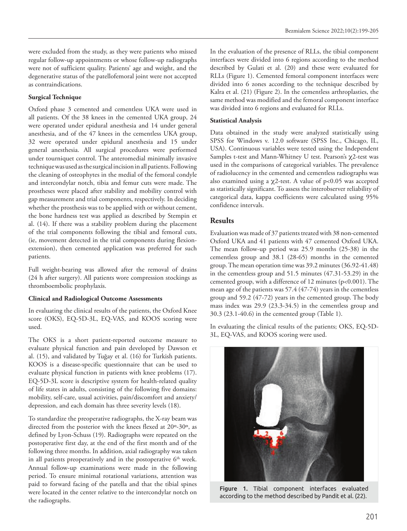were excluded from the study, as they were patients who missed regular follow-up appointments or whose follow-up radiographs were not of sufficient quality. Patients' age and weight, and the degenerative status of the patellofemoral joint were not accepted as contraindications.

#### **Surgical Technique**

Oxford phase 3 cemented and cementless UKA were used in all patients. Of the 38 knees in the cemented UKA group, 24 were operated under epidural anesthesia and 14 under general anesthesia, and of the 47 knees in the cementless UKA group, 32 were operated under epidural anesthesia and 15 under general anesthesia. All surgical procedures were performed under tourniquet control. The anteromedial minimally invasive technique was used as the surgical incision in all patients. Following the cleaning of osteophytes in the medial of the femoral condyle and intercondylar notch, tibia and femur cuts were made. The prostheses were placed after stability and mobility control with gap measurement and trial components, respectively. In deciding whether the prosthesis was to be applied with or without cement, the bone hardness test was applied as described by Stempin et al. (14). If there was a stability problem during the placement of the trial components following the tibial and femoral cuts, (ie, movement detected in the trial components during flexionextension), then cemented application was preferred for such patients.

Full weight-bearing was allowed after the removal of drains (24 h after surgery). All patients wore compression stockings as thromboembolic prophylaxis.

#### **Clinical and Radiological Outcome Assessments**

In evaluating the clinical results of the patients, the Oxford Knee score (OKS), EQ-5D-3L, EQ-VAS, and KOOS scoring were used.

The OKS is a short patient-reported outcome measure to evaluate physical function and pain developed by Dawson et al. (15), and validated by Tuğay et al. (16) for Turkish patients. KOOS is a disease-specific questionnaire that can be used to evaluate physical function in patients with knee problems (17). EQ-5D-3L score is descriptive system for health-related quality of life states in adults, consisting of the following five domains: mobility, self-care, usual activities, pain/discomfort and anxiety/ depression, and each domain has three severity levels (18).

To standardize the preoperative radiographs, the X-ray beam was directed from the posterior with the knees flexed at 20º-30º, as defined by Lyon-Schuss (19). Radiographs were repeated on the postoperative first day, at the end of the first month and of the following three months. In addition, axial radiography was taken in all patients preoperatively and in the postoperative 6<sup>th</sup> week. Annual follow-up examinations were made in the following period. To ensure minimal rotational variations, attention was paid to forward facing of the patella and that the tibial spines were located in the center relative to the intercondylar notch on the radiographs.

In the evaluation of the presence of RLLs, the tibial component interfaces were divided into 6 regions according to the method described by Gulati et al. (20) and these were evaluated for RLLs (Figure 1). Cemented femoral component interfaces were divided into 6 zones according to the technique described by Kalra et al. (21) (Figure 2). In the cementless arthroplasties, the same method was modified and the femoral component interface was divided into 6 regions and evaluated for RLLs.

## **Statistical Analysis**

Data obtained in the study were analyzed statistically using SPSS for Windows v. 12.0 software (SPSS Inc., Chicago, IL, USA). Continuous variables were tested using the Independent Samples t-test and Mann-Whitney U test. Pearson's χ2-test was used in the comparisons of categorical variables. The prevalence of radiolucency in the cemented and cementless radiographs was also examined using a  $\chi$ 2-test. A value of p<0.05 was accepted as statistically significant. To assess the interobserver reliability of categorical data, kappa coefficients were calculated using 95% confidence intervals.

# **Results**

Evaluation was made of 37 patients treated with 38 non-cemented Oxford UKA and 41 patients with 47 cemented Oxford UKA. The mean follow-up period was 25.9 months (25-38) in the cementless group and 38.1 (28-65) months in the cemented group. The mean operation time was 39.2 minutes (36.92-41.48) in the cementless group and 51.5 minutes (47.31-53.29) in the cemented group, with a difference of 12 minutes (p<0.001). The mean age of the patients was 57.4 (47-74) years in the cementless group and 59.2 (47-72) years in the cemented group. The body mass index was 29.9 (23.3-34.5) in the cementless group and 30.3 (23.1-40.6) in the cemented group (Table 1).

In evaluating the clinical results of the patients; OKS, EQ-5D-3L, EQ-VAS, and KOOS scoring were used.



Figure 1. Tibial component interfaces evaluated according to the method described by Pandit et al. (22).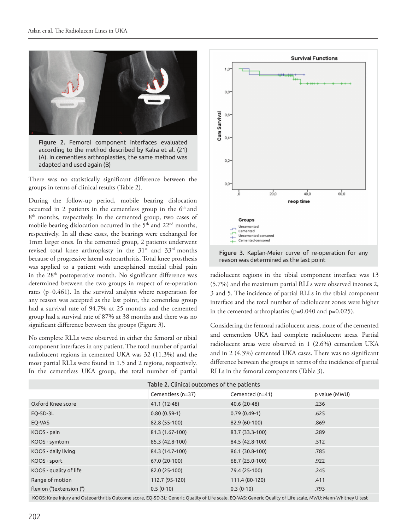

Figure 2. Femoral component interfaces evaluated according to the method described by Kalra et al. (21) (A). In cementless arthroplasties, the same method was adapted and used again (B)

There was no statistically significant difference between the groups in terms of clinical results (Table 2).

During the follow-up period, mobile bearing dislocation occurred in 2 patients in the cementless group in the 6<sup>th</sup> and 8<sup>th</sup> months, respectively. In the cemented group, two cases of mobile bearing dislocation occurred in the 5<sup>th</sup> and 22<sup>nd</sup> months, respectively. In all these cases, the bearings were exchanged for 1mm larger ones. In the cemented group, 2 patients underwent revised total knee arthroplasty in the  $31^{st}$  and  $33^{rd}$  months because of progressive lateral osteoarthritis. Total knee prosthesis was applied to a patient with unexplained medial tibial pain in the  $28<sup>th</sup>$  postoperative month. No significant difference was determined between the two groups in respect of re-operation rates (p=0.461). In the survival analysis where reoperation for any reason was accepted as the last point, the cementless group had a survival rate of 94.7% at 25 months and the cemented group had a survival rate of 87% at 38 months and there was no significant difference between the groups (Figure 3).

No complete RLLs were observed in either the femoral or tibial component interfaces in any patient. The total number of partial radiolucent regions in cemented UKA was 32 (11.3%) and the most partial RLLs were found in 1.5 and 2 regions, respectively. In the cementless UKA group, the total number of partial



Figure 3. Kaplan-Meier curve of re-operation for any reason was determined as the last point

radiolucent regions in the tibial component interface was 13 (5.7%) and the maximum partial RLLs were observed inzones 2, 3 and 5. The incidence of partial RLLs in the tibial component interface and the total number of radiolucent zones were higher in the cemented arthroplasties (p=0.040 and p=0.025).

Considering the femoral radiolucent areas, none of the cemented and cementless UKA had complete radiolucent areas. Partial radiolucent areas were observed in 1 (2.6%) cementless UKA and in 2 (4.3%) cemented UKA cases. There was no significant difference between the groups in terms of the incidence of partial RLLs in the femoral components (Table 3).

| Table 2. Clinical outcomes of the patients |                   |                 |               |  |  |
|--------------------------------------------|-------------------|-----------------|---------------|--|--|
|                                            | Cementless (n=37) | Cemented (n=41) | p value (MWU) |  |  |
| Oxford Knee score                          | 41.1 (12-48)      | 40.6 (20-48)    | .236          |  |  |
| EQ-5D-3L                                   | $0.80(0.59-1)$    | $0.79(0.49-1)$  | .625          |  |  |
| EQ-VAS                                     | 82.8 (55-100)     | 82.9 (60-100)   | .869          |  |  |
| KOOS - pain                                | 81.3 (1.67-100)   | 83.7 (33.3-100) | .289          |  |  |
| KOOS - symtom                              | 85.3 (42.8-100)   | 84.5 (42.8-100) | .512          |  |  |
| KOOS - daily living                        | 84.3 (14.7-100)   | 86.1 (30.8-100) | .785          |  |  |
| KOOS - sport                               | 67.0 (20-100)     | 68.7 (25.0-100) | .922          |  |  |
| KOOS - quality of life                     | 82.0 (25-100)     | 79.4 (25-100)   | .245          |  |  |
| Range of motion                            | 112.7 (95-120)    | 111.4 (80-120)  | .411          |  |  |
| flexion (°) extension (°)                  | $0.5(0-10)$       | $0.3(0-10)$     | .793          |  |  |

KOOS: Knee Injury and Osteoarthritis Outcome score, EQ-5D-3L: Generic Quality of Life scale, EQ-VAS: Generic Quality of Life scale, MWU: Mann-Whitney U test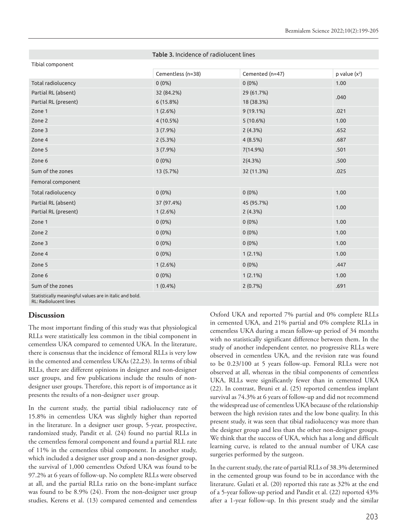|                      | <b>Table 3. INCIDENCE OF FRONOLDENCE INC.</b> |                 |                   |
|----------------------|-----------------------------------------------|-----------------|-------------------|
| Tibial component     |                                               |                 |                   |
|                      | Cementless (n=38)                             | Cemented (n=47) | $p$ value $(x^2)$ |
| Total radiolucency   | $0(0\%)$                                      | $0(0\%)$        | 1.00              |
| Partial RL (absent)  | 32 (84.2%)                                    | 29 (61.7%)      | .040              |
| Partial RL (present) | 6(15.8%)                                      | 18 (38.3%)      |                   |
| Zone 1               | 1(2.6%)                                       | 9 (19.1%)       | .021              |
| Zone 2               | 4(10.5%)                                      | 5(10.6%)        | 1.00              |
| Zone 3               | 3(7.9%)                                       | 2(4.3%)         | .652              |
| Zone 4               | 2(5.3%)                                       | 4(8.5%)         | .687              |
| Zone 5               | 3(7.9%)                                       | 7(14.9%)        | .501              |
| Zone 6               | $0(0\%)$                                      | 2(4.3%)         | .500              |
| Sum of the zones     | 13 (5.7%)                                     | 32 (11.3%)      | .025              |
| Femoral component    |                                               |                 |                   |
| Total radiolucency   | $0(0\%)$                                      | $0(0\%)$        | 1.00              |
| Partial RL (absent)  | 37 (97.4%)                                    | 45 (95.7%)      | 1.00              |
| Partial RL (present) | 1(2.6%)                                       | 2(4.3%)         |                   |
| Zone 1               | $0(0\%)$                                      | $0(0\%)$        | 1.00              |
| Zone 2               | $0(0\%)$                                      | $0(0\%)$        | 1.00              |
| Zone 3               | $0(0\%)$                                      | $0(0\%)$        | 1.00              |
| Zone 4               | $0(0\%)$                                      | 1(2.1%)         | 1.00              |
| Zone 5               | 1(2.6%)                                       | $0(0\%)$        | .447              |
| Zone 6               | $0(0\%)$                                      | 1(2.1%)         | 1.00              |
| Sum of the zones     | $1(0.4\%)$                                    | 2(0.7%)         | .691              |
|                      |                                               |                 |                   |

Table 3. Incidence of radiolucent lines

Statistically meaningful values are in italic and bold.

RL: Radiolucent lines

#### **Discussion**

The most important finding of this study was that physiological RLLs were statistically less common in the tibial component in cementless UKA compared to cemented UKA. In the literature, there is consensus that the incidence of femoral RLLs is very low in the cemented and cementless UKAs (22,23). In terms of tibial RLLs, there are different opinions in designer and non-designer user groups, and few publications include the results of nondesigner user groups. Therefore, this report is of importance as it presents the results of a non-designer user group.

In the current study, the partial tibial radiolucency rate of 15.8% in cementless UKA was slightly higher than reported in the literature. In a designer user group, 5-year, prospective, randomized study, Pandit et al. (24) found no partial RLLs in the cementless femoral component and found a partial RLL rate of 11% in the cementless tibial component. In another study, which included a designer user group and a non-designer group, the survival of 1,000 cementless Oxford UKA was found to be 97.2% at 6 years of follow-up. No complete RLLs were observed at all, and the partial RLLs ratio on the bone-implant surface was found to be 8.9% (24). From the non-designer user group studies, Kerens et al. (13) compared cemented and cementless

Oxford UKA and reported 7% partial and 0% complete RLLs in cemented UKA, and 21% partial and 0% complete RLLs in cementless UKA during a mean follow-up period of 34 months with no statistically significant difference between them. In the study of another independent center, no progressive RLLs were observed in cementless UKA, and the revision rate was found to be 0.23/100 at 5 years follow-up. Femoral RLLs were not observed at all, whereas in the tibial components of cementless UKA, RLLs were significantly fewer than in cemented UKA (22). In contrast, Bruni et al. (25) reported cementless implant survival as 74.3% at 6 years of follow-up and did not recommend the widespread use of cementless UKA because of the relationship between the high revision rates and the low bone quality. In this present study, it was seen that tibial radiolucency was more than the designer group and less than the other non-designer groups. We think that the success of UKA, which has a long and difficult learning curve, is related to the annual number of UKA case surgeries performed by the surgeon.

In the current study, the rate of partial RLLs of 38.3% determined in the cemented group was found to be in accordance with the literature. Gulati et al. (20) reported this rate as 32% at the end of a 5-year follow-up period and Pandit et al. (22) reported 43% after a 1-year follow-up. In this present study and the similar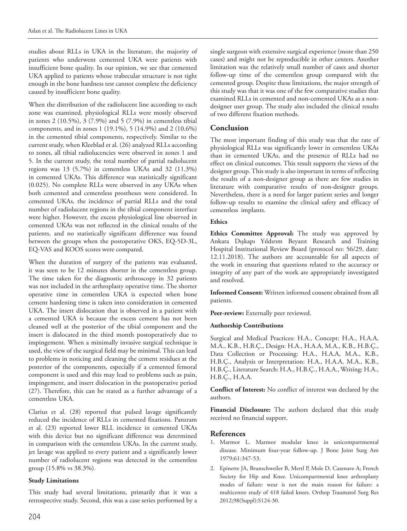studies about RLLs in UKA in the literature, the majority of patients who underwent cemented UKA were patients with insufficient bone quality. In our opinion, we see that cemented UKA applied to patients whose trabecular structure is not tight enough in the bone hardness test cannot complete the deficiency caused by insufficient bone quality.

When the distribution of the radiolucent line according to each zone was examined, physiological RLLs were mostly observed in zones 2 (10.5%), 3 (7.9%) and 5 (7.9%) in cementless tibial components, and in zones 1 (19.1%), 5 (14.9%) and 2 (10.6%) in the cemented tibial components, respectively. Similar to the current study, when Kleeblad et al. (26) analyzed RLLs according to zones, all tibial radiolucencies were observed in zones 1 and 5. In the current study, the total number of partial radiolucent regions was 13 (5.7%) in cementless UKAs and 32 (11.3%) in cemented UKAs. This difference was statistically significant (0.025). No complete RLLs were observed in any UKAs when both cemented and cementless prostheses were considered. In cemented UKAs, the incidence of partial RLLs and the total number of radiolucent regions in the tibial component interface were higher. However, the excess physiological line observed in cemented UKAs was not reflected in the clinical results of the patients, and no statistically significant difference was found between the groups when the postoperative OKS, EQ-5D-3L, EQ-VAS and KOOS scores were compared.

When the duration of surgery of the patients was evaluated, it was seen to be 12 minutes shorter in the cementless group. The time taken for the diagnostic arthroscopy in 32 patients was not included in the arthroplasty operative time. The shorter operative time in cementless UKA is expected when bone cement hardening time is taken into consideration in cemented UKA. The insert dislocation that is observed in a patient with a cemented UKA is because the excess cement has not been cleaned well at the posterior of the tibial component and the insert is dislocated in the third month postoperatively due to impingement. When a minimally invasive surgical technique is used, the view of the surgical field may be minimal. This can lead to problems in noticing and cleaning the cement residues at the posterior of the components, especially if a cemented femoral component is used and this may lead to problems such as pain, impingement, and insert dislocation in the postoperative period (27). Therefore, this can be stated as a further advantage of a cementless UKA.

Clarius et al. (28) reported that pulsed lavage significantly reduced the incidence of RLLs in cemented fixations. Panzram et al. (23) reported lower RLL incidence in cemented UKAs with this device but no significant difference was determined in comparison with the cementless UKAs. In the current study, jet lavage was applied to every patient and a significantly lower number of radiolucent regions was detected in the cementless group (15.8% vs 38.3%).

#### **Study Limitations**

This study had several limitations, primarily that it was a retrospective study. Second, this was a case series performed by a single surgeon with extensive surgical experience (more than 250 cases) and might not be reproducible in other centers. Another limitation was the relatively small number of cases and shorter follow-up time of the cementless group compared with the cemented group. Despite these limitations, the major strength of this study was that it was one of the few comparative studies that examined RLLs in cemented and non-cemented UKAs as a nondesigner user group. The study also included the clinical results of two different fixation methods.

# **Conclusion**

The most important finding of this study was that the rate of physiological RLLs was significantly lower in cementless UKAs than in cemented UKAs, and the presence of RLLs had no effect on clinical outcomes. This result supports the views of the designer group. This study is also important in terms of reflecting the results of a non-designer group as there are few studies in literature with comparative results of non-designer groups. Nevertheless, there is a need for larger patient series and longer follow-up results to examine the clinical safety and efficacy of cementless implants.

#### **Ethics**

**Ethics Committee Approval:** The study was approved by Ankara Dışkapı Yıldırım Beyazıt Research and Training Hospital Institutional Review Board (protocol no: 56/29, date: 12.11.2018). The authors are accountable for all aspects of the work in ensuring that questions related to the accuracy or integrity of any part of the work are appropriately investigated and resolved.

**Informed Consent:** Written informed consent obtained from all patients.

Peer-review: Externally peer reviewed.

#### **Authorship Contributions**

Surgical and Medical Practices: H.A., Concept: H.A., H.A.A, M.A., K.B., H.B.Ç., Design: H.A., H.A.A, M.A., K.B., H.B.Ç., Data Collection or Processing: H.A., H.A.A, M.A., K.B., H.B.Ç., Analysis or Interpretation: H.A., H.A.A, M.A., K.B., H.B.Ç., Literature Search: H.A., H.B.Ç., H.A.A., Writing: H.A., H.B.Ç., H.A.A.

**Conflict of Interest:** No conflict of interest was declared by the authors.

**Financial Disclosure:** The authors declared that this study received no financial support.

# **References**

- 1. Marmor L. Marmor modular knee in unicompartmental disease. Minimum four-year follow-up. J Bone Joint Surg Am 1979;61:347-53.
- 2. Epinette JA, Brunschweiler B, Mertl P, Mole D, Cazenave A; French Society for Hip and Knee. Unicompartmental knee arthroplasty modes of failure: wear is not the main reason for failure: a multicentre study of 418 failed knees. Orthop Traumatol Surg Res 2012;98(Suppl):S124-30.